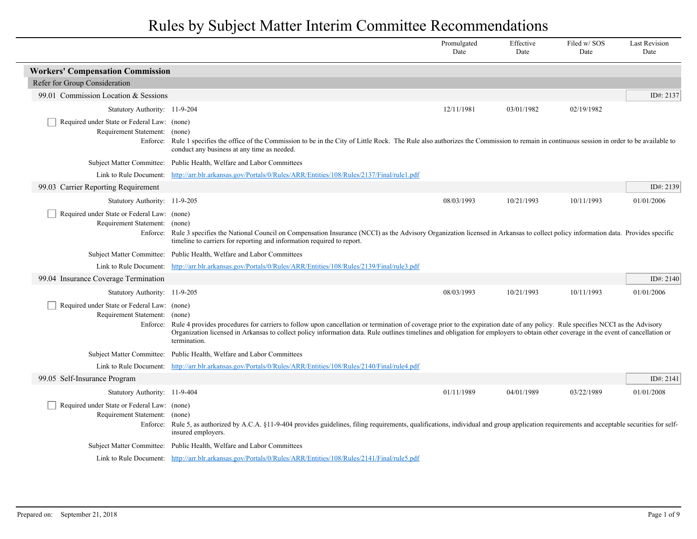|                                                                                   |                                                                                                                                                                                                                                                                                                                                                                                                 | Promulgated<br>Date | Effective<br>Date | Filed w/SOS<br>Date | <b>Last Revision</b><br>Date |
|-----------------------------------------------------------------------------------|-------------------------------------------------------------------------------------------------------------------------------------------------------------------------------------------------------------------------------------------------------------------------------------------------------------------------------------------------------------------------------------------------|---------------------|-------------------|---------------------|------------------------------|
| <b>Workers' Compensation Commission</b>                                           |                                                                                                                                                                                                                                                                                                                                                                                                 |                     |                   |                     |                              |
| Refer for Group Consideration                                                     |                                                                                                                                                                                                                                                                                                                                                                                                 |                     |                   |                     |                              |
| 99.01 Commission Location & Sessions                                              |                                                                                                                                                                                                                                                                                                                                                                                                 |                     |                   |                     | ID#: 2137                    |
| Statutory Authority: 11-9-204                                                     |                                                                                                                                                                                                                                                                                                                                                                                                 | 12/11/1981          | 03/01/1982        | 02/19/1982          |                              |
| Required under State or Federal Law: (none)<br>Requirement Statement:             | (none)<br>Enforce: Rule 1 specifies the office of the Commission to be in the City of Little Rock. The Rule also authorizes the Commission to remain in continuous session in order to be available to<br>conduct any business at any time as needed.                                                                                                                                           |                     |                   |                     |                              |
|                                                                                   | Subject Matter Committee: Public Health, Welfare and Labor Committees                                                                                                                                                                                                                                                                                                                           |                     |                   |                     |                              |
| Link to Rule Document:                                                            | http://arr.blr.arkansas.gov/Portals/0/Rules/ARR/Entities/108/Rules/2137/Final/rule1.pdf                                                                                                                                                                                                                                                                                                         |                     |                   |                     |                              |
| 99.03 Carrier Reporting Requirement                                               |                                                                                                                                                                                                                                                                                                                                                                                                 |                     |                   |                     | ID#: 2139                    |
| Statutory Authority: 11-9-205                                                     |                                                                                                                                                                                                                                                                                                                                                                                                 | 08/03/1993          | 10/21/1993        | 10/11/1993          | 01/01/2006                   |
| Required under State or Federal Law: (none)<br>Requirement Statement:             | (none)<br>Enforce: Rule 3 specifies the National Council on Compensation Insurance (NCCI) as the Advisory Organization licensed in Arkansas to collect policy information data. Provides specific<br>timeline to carriers for reporting and information required to report.                                                                                                                     |                     |                   |                     |                              |
|                                                                                   | Subject Matter Committee: Public Health, Welfare and Labor Committees                                                                                                                                                                                                                                                                                                                           |                     |                   |                     |                              |
| Link to Rule Document:                                                            | http://arr.blr.arkansas.gov/Portals/0/Rules/ARR/Entities/108/Rules/2139/Final/rule3.pdf                                                                                                                                                                                                                                                                                                         |                     |                   |                     |                              |
| 99.04 Insurance Coverage Termination                                              |                                                                                                                                                                                                                                                                                                                                                                                                 |                     |                   |                     | ID#: 2140                    |
| Statutory Authority: 11-9-205                                                     |                                                                                                                                                                                                                                                                                                                                                                                                 | 08/03/1993          | 10/21/1993        | 10/11/1993          | 01/01/2006                   |
| Required under State or Federal Law: (none)<br>Requirement Statement:<br>Enforce: | (none)<br>Rule 4 provides procedures for carriers to follow upon cancellation or termination of coverage prior to the expiration date of any policy. Rule specifies NCCI as the Advisory<br>Organization licensed in Arkansas to collect policy information data. Rule outlines timelines and obligation for employers to obtain other coverage in the event of cancellation or<br>termination. |                     |                   |                     |                              |
|                                                                                   | Subject Matter Committee: Public Health, Welfare and Labor Committees                                                                                                                                                                                                                                                                                                                           |                     |                   |                     |                              |
|                                                                                   | Link to Rule Document: http://arr.blr.arkansas.gov/Portals/0/Rules/ARR/Entities/108/Rules/2140/Final/rule4.pdf                                                                                                                                                                                                                                                                                  |                     |                   |                     |                              |
| 99.05 Self-Insurance Program                                                      |                                                                                                                                                                                                                                                                                                                                                                                                 |                     |                   |                     | ID#: 2141                    |
| Statutory Authority: 11-9-404                                                     |                                                                                                                                                                                                                                                                                                                                                                                                 | 01/11/1989          | 04/01/1989        | 03/22/1989          | 01/01/2008                   |
| Required under State or Federal Law: (none)<br>Requirement Statement:             | (none)<br>Enforce: Rule 5, as authorized by A.C.A. §11-9-404 provides guidelines, filing requirements, qualifications, individual and group application requirements and acceptable securities for self-<br>insured employers.                                                                                                                                                                  |                     |                   |                     |                              |
|                                                                                   | Subject Matter Committee: Public Health, Welfare and Labor Committees                                                                                                                                                                                                                                                                                                                           |                     |                   |                     |                              |
|                                                                                   | Link to Rule Document: http://arr.blr.arkansas.gov/Portals/0/Rules/ARR/Entities/108/Rules/2141/Final/rule5.pdf                                                                                                                                                                                                                                                                                  |                     |                   |                     |                              |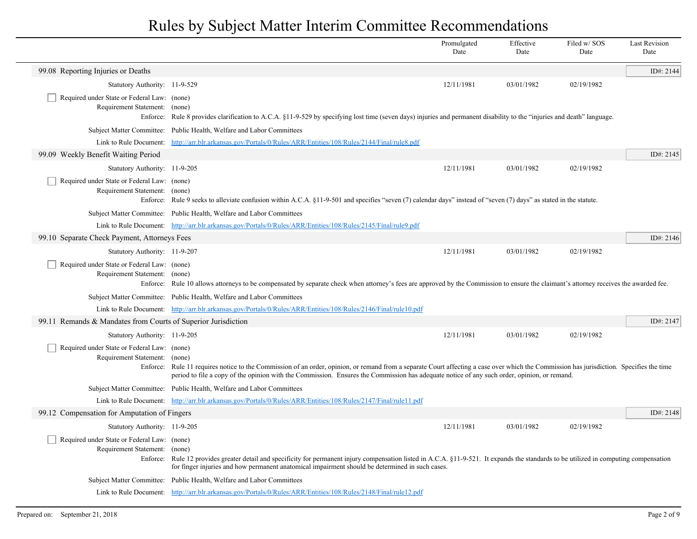|                                                                                   |                                                                                                                                                                                                                                                                                                                                                   | Promulgated<br>Date | Effective<br>Date | Filed w/SOS<br>Date | <b>Last Revision</b><br>Date |
|-----------------------------------------------------------------------------------|---------------------------------------------------------------------------------------------------------------------------------------------------------------------------------------------------------------------------------------------------------------------------------------------------------------------------------------------------|---------------------|-------------------|---------------------|------------------------------|
| 99.08 Reporting Injuries or Deaths                                                |                                                                                                                                                                                                                                                                                                                                                   |                     |                   |                     | ID#: 2144                    |
| Statutory Authority: 11-9-529                                                     |                                                                                                                                                                                                                                                                                                                                                   | 12/11/1981          | 03/01/1982        | 02/19/1982          |                              |
| Required under State or Federal Law: (none)<br>Requirement Statement:<br>Enforce: | (none)<br>Rule 8 provides clarification to A.C.A. §11-9-529 by specifying lost time (seven days) injuries and permanent disability to the "injuries and death" language.                                                                                                                                                                          |                     |                   |                     |                              |
| Subject Matter Committee:                                                         | Public Health, Welfare and Labor Committees                                                                                                                                                                                                                                                                                                       |                     |                   |                     |                              |
| Link to Rule Document:                                                            | http://arr.blr.arkansas.gov/Portals/0/Rules/ARR/Entities/108/Rules/2144/Final/rule8.pdf                                                                                                                                                                                                                                                           |                     |                   |                     |                              |
| 99.09 Weekly Benefit Waiting Period                                               |                                                                                                                                                                                                                                                                                                                                                   |                     |                   |                     | ID#: 2145                    |
| Statutory Authority: 11-9-205                                                     |                                                                                                                                                                                                                                                                                                                                                   | 12/11/1981          | 03/01/1982        | 02/19/1982          |                              |
| Required under State or Federal Law: (none)<br>Requirement Statement:             | (none)<br>Enforce: Rule 9 seeks to alleviate confusion within A.C.A. §11-9-501 and specifies "seven (7) calendar days" instead of "seven (7) days" as stated in the statute.                                                                                                                                                                      |                     |                   |                     |                              |
|                                                                                   | Subject Matter Committee: Public Health, Welfare and Labor Committees                                                                                                                                                                                                                                                                             |                     |                   |                     |                              |
|                                                                                   | Link to Rule Document: http://arr.blr.arkansas.gov/Portals/0/Rules/ARR/Entities/108/Rules/2145/Final/rule9.pdf                                                                                                                                                                                                                                    |                     |                   |                     |                              |
| 99.10 Separate Check Payment, Attorneys Fees                                      |                                                                                                                                                                                                                                                                                                                                                   |                     |                   |                     | ID#: $2146$                  |
| Statutory Authority: 11-9-207                                                     |                                                                                                                                                                                                                                                                                                                                                   | 12/11/1981          | 03/01/1982        | 02/19/1982          |                              |
| Required under State or Federal Law: (none)<br>Requirement Statement: (none)      | Enforce: Rule 10 allows attorneys to be compensated by separate check when attorney's fees are approved by the Commission to ensure the claimant's attorney receives the awarded fee.                                                                                                                                                             |                     |                   |                     |                              |
|                                                                                   | Subject Matter Committee: Public Health, Welfare and Labor Committees                                                                                                                                                                                                                                                                             |                     |                   |                     |                              |
|                                                                                   | Link to Rule Document: http://arr.blr.arkansas.gov/Portals/0/Rules/ARR/Entities/108/Rules/2146/Final/rule10.pdf                                                                                                                                                                                                                                   |                     |                   |                     |                              |
| 99.11 Remands & Mandates from Courts of Superior Jurisdiction                     |                                                                                                                                                                                                                                                                                                                                                   |                     |                   |                     | ID#: 2147                    |
| Statutory Authority: 11-9-205                                                     |                                                                                                                                                                                                                                                                                                                                                   | 12/11/1981          | 03/01/1982        | 02/19/1982          |                              |
| Required under State or Federal Law: (none)<br>Requirement Statement:             | (none)<br>Enforce: Rule 11 requires notice to the Commission of an order, opinion, or remand from a separate Court affecting a case over which the Commission has jurisdiction. Specifies the time<br>period to file a copy of the opinion with the Commission. Ensures the Commission has adequate notice of any such order, opinion, or remand. |                     |                   |                     |                              |
|                                                                                   | Subject Matter Committee: Public Health, Welfare and Labor Committees                                                                                                                                                                                                                                                                             |                     |                   |                     |                              |
| Link to Rule Document:                                                            | http://arr.blr.arkansas.gov/Portals/0/Rules/ARR/Entities/108/Rules/2147/Final/rule11.pdf                                                                                                                                                                                                                                                          |                     |                   |                     |                              |
| 99.12 Compensation for Amputation of Fingers                                      |                                                                                                                                                                                                                                                                                                                                                   |                     |                   |                     | ID#: 2148                    |
| Statutory Authority: 11-9-205                                                     |                                                                                                                                                                                                                                                                                                                                                   | 12/11/1981          | 03/01/1982        | 02/19/1982          |                              |
| Required under State or Federal Law: (none)<br>Requirement Statement:             | (none)<br>Enforce: Rule 12 provides greater detail and specificity for permanent injury compensation listed in A.C.A. §11-9-521. It expands the standards to be utilized in computing compensation<br>for finger injuries and how permanent anatomical impairment should be determined in such cases.                                             |                     |                   |                     |                              |
|                                                                                   | Subject Matter Committee: Public Health, Welfare and Labor Committees                                                                                                                                                                                                                                                                             |                     |                   |                     |                              |
|                                                                                   | Link to Rule Document: http://arr.blr.arkansas.gov/Portals/0/Rules/ARR/Entities/108/Rules/2148/Final/rule12.pdf                                                                                                                                                                                                                                   |                     |                   |                     |                              |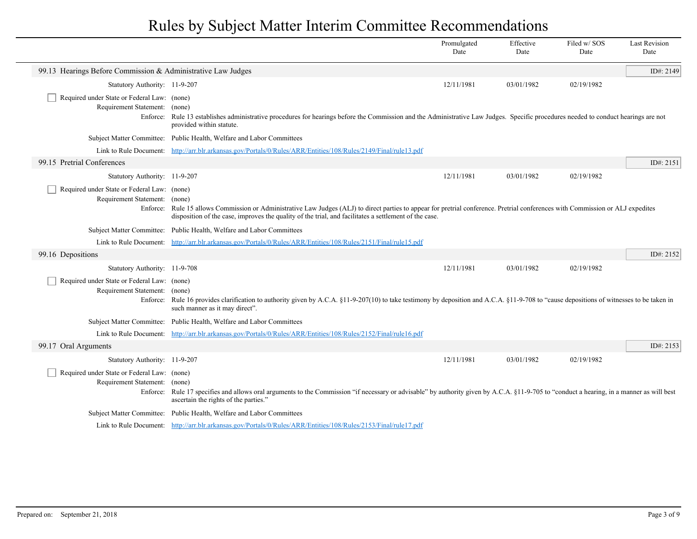|                                                                                   |                                                                                                                                                                                                                                                                                           | Promulgated<br>Date | Effective<br>Date | Filed w/SOS<br>Date | <b>Last Revision</b><br>Date |
|-----------------------------------------------------------------------------------|-------------------------------------------------------------------------------------------------------------------------------------------------------------------------------------------------------------------------------------------------------------------------------------------|---------------------|-------------------|---------------------|------------------------------|
| 99.13 Hearings Before Commission & Administrative Law Judges                      |                                                                                                                                                                                                                                                                                           |                     |                   |                     | ID#: 2149                    |
| Statutory Authority: 11-9-207                                                     |                                                                                                                                                                                                                                                                                           | 12/11/1981          | 03/01/1982        | 02/19/1982          |                              |
| Required under State or Federal Law: (none)                                       |                                                                                                                                                                                                                                                                                           |                     |                   |                     |                              |
| Requirement Statement:<br>Enforce:                                                | (none)<br>Rule 13 establishes administrative procedures for hearings before the Commission and the Administrative Law Judges. Specific procedures needed to conduct hearings are not<br>provided within statute.                                                                          |                     |                   |                     |                              |
|                                                                                   | Subject Matter Committee: Public Health, Welfare and Labor Committees                                                                                                                                                                                                                     |                     |                   |                     |                              |
|                                                                                   | Link to Rule Document: http://arr.blr.arkansas.gov/Portals/0/Rules/ARR/Entities/108/Rules/2149/Final/rule13.pdf                                                                                                                                                                           |                     |                   |                     |                              |
| 99.15 Pretrial Conferences                                                        |                                                                                                                                                                                                                                                                                           |                     |                   |                     | ID#: 2151                    |
| Statutory Authority: 11-9-207                                                     |                                                                                                                                                                                                                                                                                           | 12/11/1981          | 03/01/1982        | 02/19/1982          |                              |
| Required under State or Federal Law: (none)<br>Requirement Statement: (none)      | Enforce: Rule 15 allows Commission or Administrative Law Judges (ALJ) to direct parties to appear for pretrial conference. Pretrial conferences with Commission or ALJ expedites<br>disposition of the case, improves the quality of the trial, and facilitates a settlement of the case. |                     |                   |                     |                              |
|                                                                                   | Subject Matter Committee: Public Health, Welfare and Labor Committees                                                                                                                                                                                                                     |                     |                   |                     |                              |
|                                                                                   | Link to Rule Document: http://arr.blr.arkansas.gov/Portals/0/Rules/ARR/Entities/108/Rules/2151/Final/rule15.pdf                                                                                                                                                                           |                     |                   |                     |                              |
| 99.16 Depositions                                                                 |                                                                                                                                                                                                                                                                                           |                     |                   |                     | ID#: 2152                    |
| Statutory Authority: 11-9-708                                                     |                                                                                                                                                                                                                                                                                           | 12/11/1981          | 03/01/1982        | 02/19/1982          |                              |
| Required under State or Federal Law: (none)<br>Requirement Statement:<br>Enforce: | (none)<br>Rule 16 provides clarification to authority given by A.C.A. §11-9-207(10) to take testimony by deposition and A.C.A. §11-9-708 to "cause depositions of witnesses to be taken in<br>such manner as it may direct".                                                              |                     |                   |                     |                              |
|                                                                                   | Subject Matter Committee: Public Health, Welfare and Labor Committees                                                                                                                                                                                                                     |                     |                   |                     |                              |
|                                                                                   | Link to Rule Document: http://arr.blr.arkansas.gov/Portals/0/Rules/ARR/Entities/108/Rules/2152/Final/rule16.pdf                                                                                                                                                                           |                     |                   |                     |                              |
| 99.17 Oral Arguments                                                              |                                                                                                                                                                                                                                                                                           |                     |                   |                     | ID#: 2153                    |
| Statutory Authority: 11-9-207                                                     |                                                                                                                                                                                                                                                                                           | 12/11/1981          | 03/01/1982        | 02/19/1982          |                              |
| Required under State or Federal Law: (none)<br>Requirement Statement:             | (none)<br>Enforce: Rule 17 specifies and allows oral arguments to the Commission "if necessary or advisable" by authority given by A.C.A. §11-9-705 to "conduct a hearing, in a manner as will best<br>ascertain the rights of the parties."                                              |                     |                   |                     |                              |
|                                                                                   | Subject Matter Committee: Public Health, Welfare and Labor Committees                                                                                                                                                                                                                     |                     |                   |                     |                              |
|                                                                                   | Link to Rule Document: http://arr.blr.arkansas.gov/Portals/0/Rules/ARR/Entities/108/Rules/2153/Final/rule17.pdf                                                                                                                                                                           |                     |                   |                     |                              |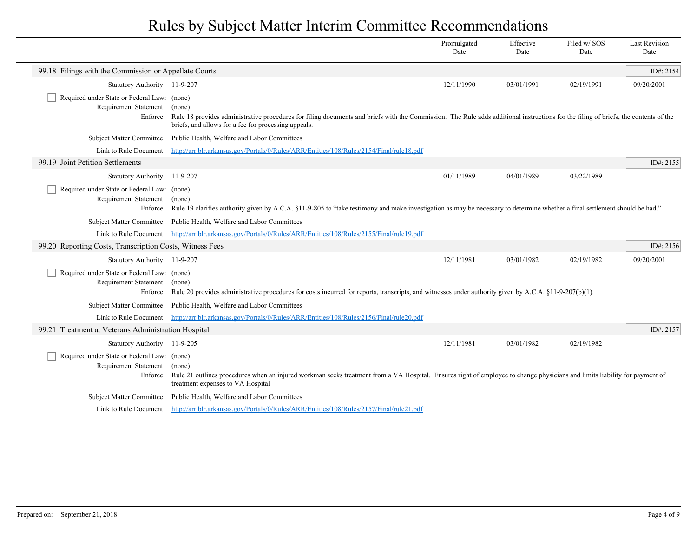|                                                                              |                                                                                                                                                                                                                                                      | Promulgated<br>Date | Effective<br>Date | Filed w/SOS<br>Date | <b>Last Revision</b><br>Date |
|------------------------------------------------------------------------------|------------------------------------------------------------------------------------------------------------------------------------------------------------------------------------------------------------------------------------------------------|---------------------|-------------------|---------------------|------------------------------|
| 99.18 Filings with the Commission or Appellate Courts                        |                                                                                                                                                                                                                                                      |                     |                   |                     | ID#: 2154                    |
| Statutory Authority: 11-9-207                                                |                                                                                                                                                                                                                                                      | 12/11/1990          | 03/01/1991        | 02/19/1991          | 09/20/2001                   |
| Required under State or Federal Law: (none)<br>Requirement Statement: (none) | Enforce: Rule 18 provides administrative procedures for filing documents and briefs with the Commission. The Rule adds additional instructions for the filing of briefs, the contents of the<br>briefs, and allows for a fee for processing appeals. |                     |                   |                     |                              |
|                                                                              | Subject Matter Committee: Public Health, Welfare and Labor Committees                                                                                                                                                                                |                     |                   |                     |                              |
|                                                                              | Link to Rule Document: http://arr.blr.arkansas.gov/Portals/0/Rules/ARR/Entities/108/Rules/2154/Final/rule18.pdf                                                                                                                                      |                     |                   |                     |                              |
| 99.19 Joint Petition Settlements                                             |                                                                                                                                                                                                                                                      |                     |                   |                     | ID#: 2155                    |
| Statutory Authority: 11-9-207                                                |                                                                                                                                                                                                                                                      | 01/11/1989          | 04/01/1989        | 03/22/1989          |                              |
| Required under State or Federal Law: (none)<br>Requirement Statement: (none) | Enforce: Rule 19 clarifies authority given by A.C.A. §11-9-805 to "take testimony and make investigation as may be necessary to determine whether a final settlement should be had."                                                                 |                     |                   |                     |                              |
|                                                                              | Subject Matter Committee: Public Health, Welfare and Labor Committees                                                                                                                                                                                |                     |                   |                     |                              |
|                                                                              | Link to Rule Document: http://arr.blr.arkansas.gov/Portals/0/Rules/ARR/Entities/108/Rules/2155/Final/rule19.pdf                                                                                                                                      |                     |                   |                     |                              |
| 99.20 Reporting Costs, Transcription Costs, Witness Fees                     |                                                                                                                                                                                                                                                      |                     |                   |                     | ID#: 2156                    |
| Statutory Authority: 11-9-207                                                |                                                                                                                                                                                                                                                      | 12/11/1981          | 03/01/1982        | 02/19/1982          | 09/20/2001                   |
| Required under State or Federal Law: (none)<br>Requirement Statement: (none) | Enforce: Rule 20 provides administrative procedures for costs incurred for reports, transcripts, and witnesses under authority given by A.C.A. §11-9-207(b)(1).                                                                                      |                     |                   |                     |                              |
|                                                                              | Subject Matter Committee: Public Health, Welfare and Labor Committees                                                                                                                                                                                |                     |                   |                     |                              |
|                                                                              | Link to Rule Document: http://arr.blr.arkansas.gov/Portals/0/Rules/ARR/Entities/108/Rules/2156/Final/rule20.pdf                                                                                                                                      |                     |                   |                     |                              |
| 99.21 Treatment at Veterans Administration Hospital                          |                                                                                                                                                                                                                                                      |                     |                   |                     | ID#: 2157                    |
| Statutory Authority: 11-9-205                                                |                                                                                                                                                                                                                                                      | 12/11/1981          | 03/01/1982        | 02/19/1982          |                              |
| Required under State or Federal Law: (none)<br>Requirement Statement: (none) | Enforce: Rule 21 outlines procedures when an injured workman seeks treatment from a VA Hospital. Ensures right of employee to change physicians and limits liability for payment of<br>treatment expenses to VA Hospital                             |                     |                   |                     |                              |
|                                                                              | Subject Matter Committee: Public Health, Welfare and Labor Committees                                                                                                                                                                                |                     |                   |                     |                              |
|                                                                              | Link to Rule Document: http://arr.blr.arkansas.gov/Portals/0/Rules/ARR/Entities/108/Rules/2157/Final/rule21.pdf                                                                                                                                      |                     |                   |                     |                              |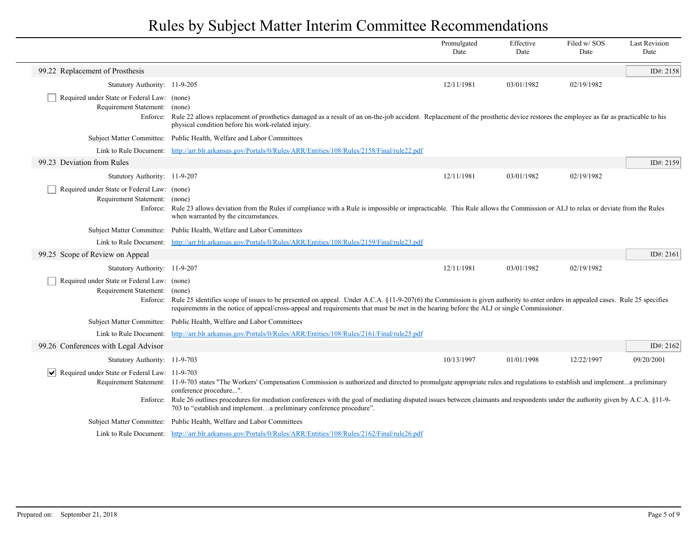|                                                                                |                                                                                                                                                                                                                                                                                                                                      | Promulgated<br>Date | Effective<br>Date | Filed w/ SOS<br>Date | <b>Last Revision</b><br>Date |
|--------------------------------------------------------------------------------|--------------------------------------------------------------------------------------------------------------------------------------------------------------------------------------------------------------------------------------------------------------------------------------------------------------------------------------|---------------------|-------------------|----------------------|------------------------------|
| 99.22 Replacement of Prosthesis                                                |                                                                                                                                                                                                                                                                                                                                      |                     |                   |                      | ID#: 2158                    |
| Statutory Authority: 11-9-205                                                  |                                                                                                                                                                                                                                                                                                                                      | 12/11/1981          | 03/01/1982        | 02/19/1982           |                              |
| Required under State or Federal Law: (none)<br>Requirement Statement:          | (none)                                                                                                                                                                                                                                                                                                                               |                     |                   |                      |                              |
|                                                                                | Enforce: Rule 22 allows replacement of prosthetics damaged as a result of an on-the-job accident. Replacement of the prosthetic device restores the employee as far as practicable to his<br>physical condition before his work-related injury.                                                                                      |                     |                   |                      |                              |
|                                                                                | Subject Matter Committee: Public Health, Welfare and Labor Committees                                                                                                                                                                                                                                                                |                     |                   |                      |                              |
|                                                                                | Link to Rule Document: http://arr.blr.arkansas.gov/Portals/0/Rules/ARR/Entities/108/Rules/2158/Final/rule22.pdf                                                                                                                                                                                                                      |                     |                   |                      |                              |
| 99.23 Deviation from Rules                                                     |                                                                                                                                                                                                                                                                                                                                      |                     |                   |                      | ID#: 2159                    |
| Statutory Authority: 11-9-207                                                  |                                                                                                                                                                                                                                                                                                                                      | 12/11/1981          | 03/01/1982        | 02/19/1982           |                              |
| Required under State or Federal Law: (none)                                    |                                                                                                                                                                                                                                                                                                                                      |                     |                   |                      |                              |
| Requirement Statement: (none)                                                  | Enforce: Rule 23 allows deviation from the Rules if compliance with a Rule is impossible or impracticable. This Rule allows the Commission or ALJ to relax or deviate from the Rules<br>when warranted by the circumstances.                                                                                                         |                     |                   |                      |                              |
|                                                                                | Subject Matter Committee: Public Health, Welfare and Labor Committees                                                                                                                                                                                                                                                                |                     |                   |                      |                              |
|                                                                                | Link to Rule Document: http://arr.blr.arkansas.gov/Portals/0/Rules/ARR/Entities/108/Rules/2159/Final/rule23.pdf                                                                                                                                                                                                                      |                     |                   |                      |                              |
| 99.25 Scope of Review on Appeal                                                |                                                                                                                                                                                                                                                                                                                                      |                     |                   |                      | ID#: 2161                    |
| Statutory Authority: 11-9-207                                                  |                                                                                                                                                                                                                                                                                                                                      | 12/11/1981          | 03/01/1982        | 02/19/1982           |                              |
| Required under State or Federal Law: (none)                                    |                                                                                                                                                                                                                                                                                                                                      |                     |                   |                      |                              |
| Requirement Statement:                                                         | (none)                                                                                                                                                                                                                                                                                                                               |                     |                   |                      |                              |
|                                                                                | Enforce: Rule 25 identifies scope of issues to be presented on appeal. Under A.C.A. §11-9-207(6) the Commission is given authority to enter orders in appealed cases. Rule 25 specifies<br>requirements in the notice of appeal/cross-appeal and requirements that must be met in the hearing before the ALJ or single Commissioner. |                     |                   |                      |                              |
|                                                                                | Subject Matter Committee: Public Health, Welfare and Labor Committees                                                                                                                                                                                                                                                                |                     |                   |                      |                              |
|                                                                                | Link to Rule Document: http://arr.blr.arkansas.gov/Portals/0/Rules/ARR/Entities/108/Rules/2161/Final/rule25.pdf                                                                                                                                                                                                                      |                     |                   |                      |                              |
| 99.26 Conferences with Legal Advisor                                           |                                                                                                                                                                                                                                                                                                                                      |                     |                   |                      | ID#: 2162                    |
| Statutory Authority: 11-9-703                                                  |                                                                                                                                                                                                                                                                                                                                      | 10/13/1997          | 01/01/1998        | 12/22/1997           | 09/20/2001                   |
| $\vert \bm{\mathsf{v}} \vert$<br>Required under State or Federal Law: 11-9-703 |                                                                                                                                                                                                                                                                                                                                      |                     |                   |                      |                              |
|                                                                                | Requirement Statement: 11-9-703 states "The Workers' Compensation Commission is authorized and directed to promulgate appropriate rules and regulations to establish and implementa preliminary<br>conference procedure".                                                                                                            |                     |                   |                      |                              |
|                                                                                | Enforce: Rule 26 outlines procedures for mediation conferences with the goal of mediating disputed issues between claimants and respondents under the authority given by A.C.A. §11-9-<br>703 to "establish and implementa preliminary conference procedure".                                                                        |                     |                   |                      |                              |
|                                                                                | Subject Matter Committee: Public Health, Welfare and Labor Committees                                                                                                                                                                                                                                                                |                     |                   |                      |                              |
|                                                                                | Link to Rule Document: http://arr.blr.arkansas.gov/Portals/0/Rules/ARR/Entities/108/Rules/2162/Final/rule26.pdf                                                                                                                                                                                                                      |                     |                   |                      |                              |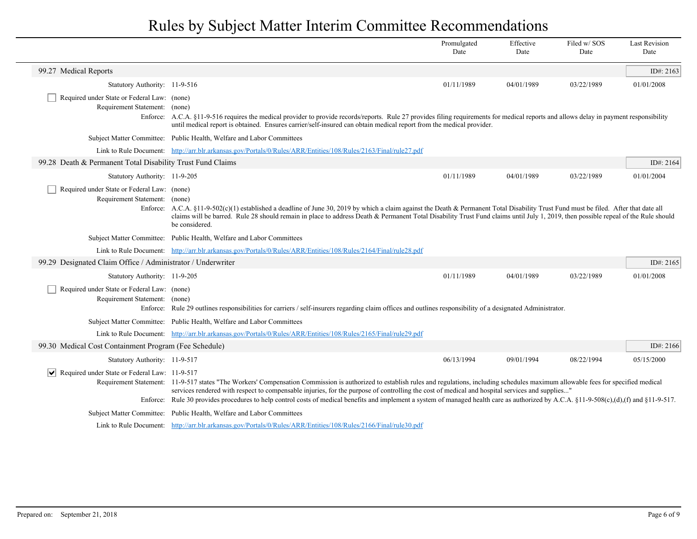|                                                                              |                                                                                                                                                                                                                                                                                                                                                                                                                                                                                                                                               | Promulgated<br>Date | Effective<br>Date | Filed w/SOS<br>Date | <b>Last Revision</b><br>Date |
|------------------------------------------------------------------------------|-----------------------------------------------------------------------------------------------------------------------------------------------------------------------------------------------------------------------------------------------------------------------------------------------------------------------------------------------------------------------------------------------------------------------------------------------------------------------------------------------------------------------------------------------|---------------------|-------------------|---------------------|------------------------------|
| 99.27 Medical Reports                                                        |                                                                                                                                                                                                                                                                                                                                                                                                                                                                                                                                               |                     |                   |                     | ID#: $2163$                  |
| Statutory Authority: 11-9-516                                                |                                                                                                                                                                                                                                                                                                                                                                                                                                                                                                                                               | 01/11/1989          | 04/01/1989        | 03/22/1989          | 01/01/2008                   |
| Required under State or Federal Law: (none)<br>Requirement Statement: (none) | Enforce: A.C.A. §11-9-516 requires the medical provider to provide records/reports. Rule 27 provides filing requirements for medical reports and allows delay in payment responsibility<br>until medical report is obtained. Ensures carrier/self-insured can obtain medical report from the medical provider.                                                                                                                                                                                                                                |                     |                   |                     |                              |
|                                                                              | Subject Matter Committee: Public Health, Welfare and Labor Committees                                                                                                                                                                                                                                                                                                                                                                                                                                                                         |                     |                   |                     |                              |
|                                                                              | Link to Rule Document: http://arr.blr.arkansas.gov/Portals/0/Rules/ARR/Entities/108/Rules/2163/Final/rule27.pdf                                                                                                                                                                                                                                                                                                                                                                                                                               |                     |                   |                     |                              |
| 99.28 Death & Permanent Total Disability Trust Fund Claims                   |                                                                                                                                                                                                                                                                                                                                                                                                                                                                                                                                               |                     |                   |                     | ID#: 2164                    |
| Statutory Authority: 11-9-205                                                |                                                                                                                                                                                                                                                                                                                                                                                                                                                                                                                                               | 01/11/1989          | 04/01/1989        | 03/22/1989          | 01/01/2004                   |
| Required under State or Federal Law: (none)<br>Requirement Statement: (none) | Enforce: A.C.A. §11-9-502(c)(1) established a deadline of June 30, 2019 by which a claim against the Death & Permanent Total Disability Trust Fund must be filed. After that date all<br>claims will be barred. Rule 28 should remain in place to address Death & Permanent Total Disability Trust Fund claims until July 1, 2019, then possible repeal of the Rule should<br>be considered.                                                                                                                                                  |                     |                   |                     |                              |
|                                                                              | Subject Matter Committee: Public Health, Welfare and Labor Committees                                                                                                                                                                                                                                                                                                                                                                                                                                                                         |                     |                   |                     |                              |
|                                                                              | Link to Rule Document: http://arr.blr.arkansas.gov/Portals/0/Rules/ARR/Entities/108/Rules/2164/Final/rule28.pdf                                                                                                                                                                                                                                                                                                                                                                                                                               |                     |                   |                     |                              |
| 99.29 Designated Claim Office / Administrator / Underwriter                  |                                                                                                                                                                                                                                                                                                                                                                                                                                                                                                                                               |                     |                   |                     | ID#: 2165                    |
| Statutory Authority: 11-9-205                                                |                                                                                                                                                                                                                                                                                                                                                                                                                                                                                                                                               | 01/11/1989          | 04/01/1989        | 03/22/1989          | 01/01/2008                   |
| Required under State or Federal Law: (none)<br>Requirement Statement: (none) | Enforce: Rule 29 outlines responsibilities for carriers / self-insurers regarding claim offices and outlines responsibility of a designated Administrator.                                                                                                                                                                                                                                                                                                                                                                                    |                     |                   |                     |                              |
|                                                                              | Subject Matter Committee: Public Health, Welfare and Labor Committees                                                                                                                                                                                                                                                                                                                                                                                                                                                                         |                     |                   |                     |                              |
|                                                                              | Link to Rule Document: http://arr.blr.arkansas.gov/Portals/0/Rules/ARR/Entities/108/Rules/2165/Final/rule29.pdf                                                                                                                                                                                                                                                                                                                                                                                                                               |                     |                   |                     |                              |
| 99.30 Medical Cost Containment Program (Fee Schedule)                        |                                                                                                                                                                                                                                                                                                                                                                                                                                                                                                                                               |                     |                   |                     | ID#: $2166$                  |
| Statutory Authority: 11-9-517                                                |                                                                                                                                                                                                                                                                                                                                                                                                                                                                                                                                               | 06/13/1994          | 09/01/1994        | 08/22/1994          | 05/15/2000                   |
| $ \mathbf{v} $ Required under State or Federal Law: 11-9-517                 | Requirement Statement: 11-9-517 states "The Workers' Compensation Commission is authorized to establish rules and regulations, including schedules maximum allowable fees for specified medical<br>services rendered with respect to compensable injuries, for the purpose of controlling the cost of medical and hospital services and supplies"<br>Enforce: Rule 30 provides procedures to help control costs of medical benefits and implement a system of managed health care as authorized by A.C.A. §11-9-508(c),(d),(f) and §11-9-517. |                     |                   |                     |                              |
|                                                                              | Subject Matter Committee: Public Health, Welfare and Labor Committees                                                                                                                                                                                                                                                                                                                                                                                                                                                                         |                     |                   |                     |                              |
|                                                                              | Link to Rule Document: http://arr.blr.arkansas.gov/Portals/0/Rules/ARR/Entities/108/Rules/2166/Final/rule30.pdf                                                                                                                                                                                                                                                                                                                                                                                                                               |                     |                   |                     |                              |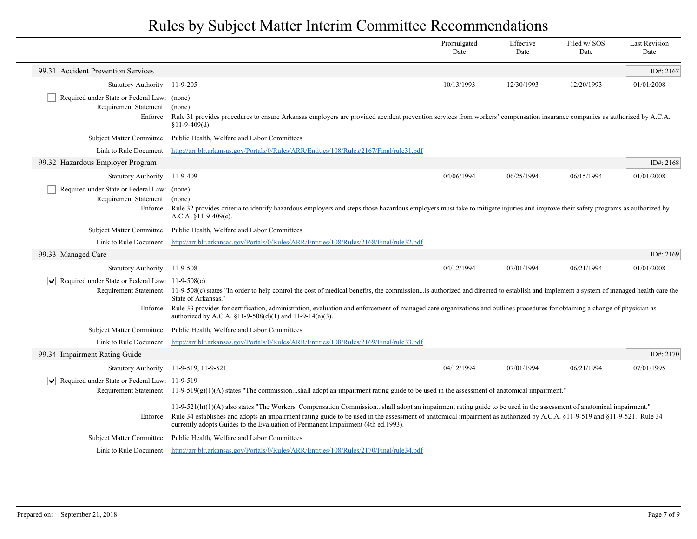|                                                                       |                                                                                                                                                                                                                                                                                                                                                                                                                                                                                      | Promulgated<br>Date | Effective<br>Date | Filed w/ SOS<br>Date | <b>Last Revision</b><br>Date |
|-----------------------------------------------------------------------|--------------------------------------------------------------------------------------------------------------------------------------------------------------------------------------------------------------------------------------------------------------------------------------------------------------------------------------------------------------------------------------------------------------------------------------------------------------------------------------|---------------------|-------------------|----------------------|------------------------------|
| 99.31 Accident Prevention Services                                    |                                                                                                                                                                                                                                                                                                                                                                                                                                                                                      |                     |                   |                      | ID#: 2167                    |
| Statutory Authority: 11-9-205                                         |                                                                                                                                                                                                                                                                                                                                                                                                                                                                                      | 10/13/1993          | 12/30/1993        | 12/20/1993           | 01/01/2008                   |
| Required under State or Federal Law: (none)<br>Requirement Statement: | (none)<br>Enforce: Rule 31 provides procedures to ensure Arkansas employers are provided accident prevention services from workers' compensation insurance companies as authorized by A.C.A.<br>$$11-9-409(d).$                                                                                                                                                                                                                                                                      |                     |                   |                      |                              |
|                                                                       | Subject Matter Committee: Public Health, Welfare and Labor Committees                                                                                                                                                                                                                                                                                                                                                                                                                |                     |                   |                      |                              |
|                                                                       | Link to Rule Document: http://arr.blr.arkansas.gov/Portals/0/Rules/ARR/Entities/108/Rules/2167/Final/rule31.pdf                                                                                                                                                                                                                                                                                                                                                                      |                     |                   |                      |                              |
| 99.32 Hazardous Employer Program                                      |                                                                                                                                                                                                                                                                                                                                                                                                                                                                                      |                     |                   |                      | ID#: 2168                    |
| Statutory Authority: 11-9-409                                         |                                                                                                                                                                                                                                                                                                                                                                                                                                                                                      | 04/06/1994          | 06/25/1994        | 06/15/1994           | 01/01/2008                   |
| Required under State or Federal Law: (none)<br>Requirement Statement: | (none)<br>Enforce: Rule 32 provides criteria to identify hazardous employers and steps those hazardous employers must take to mitigate injuries and improve their safety programs as authorized by<br>A.C.A. $$11-9-409(c)$ .                                                                                                                                                                                                                                                        |                     |                   |                      |                              |
|                                                                       | Subject Matter Committee: Public Health, Welfare and Labor Committees                                                                                                                                                                                                                                                                                                                                                                                                                |                     |                   |                      |                              |
|                                                                       | Link to Rule Document: http://arr.blr.arkansas.gov/Portals/0/Rules/ARR/Entities/108/Rules/2168/Final/rule32.pdf                                                                                                                                                                                                                                                                                                                                                                      |                     |                   |                      |                              |
| 99.33 Managed Care                                                    |                                                                                                                                                                                                                                                                                                                                                                                                                                                                                      |                     |                   |                      | ID#: $2169$                  |
| Statutory Authority: 11-9-508                                         |                                                                                                                                                                                                                                                                                                                                                                                                                                                                                      | 04/12/1994          | 07/01/1994        | 06/21/1994           | 01/01/2008                   |
| $ \mathbf{v} $ Required under State or Federal Law: 11-9-508(c)       | Requirement Statement: 11-9-508(c) states "In order to help control the cost of medical benefits, the commission is authorized and directed to establish and implement a system of managed health care the<br>State of Arkansas."<br>Enforce: Rule 33 provides for certification, administration, evaluation and enforcement of managed care organizations and outlines procedures for obtaining a change of physician as<br>authorized by A.C.A. §11-9-508(d)(1) and 11-9-14(a)(3). |                     |                   |                      |                              |
|                                                                       | Subject Matter Committee: Public Health, Welfare and Labor Committees                                                                                                                                                                                                                                                                                                                                                                                                                |                     |                   |                      |                              |
|                                                                       | Link to Rule Document: http://arr.blr.arkansas.gov/Portals/0/Rules/ARR/Entities/108/Rules/2169/Final/rule33.pdf                                                                                                                                                                                                                                                                                                                                                                      |                     |                   |                      |                              |
| 99.34 Impairment Rating Guide                                         |                                                                                                                                                                                                                                                                                                                                                                                                                                                                                      |                     |                   |                      | ID#: 2170                    |
| Statutory Authority: 11-9-519, 11-9-521                               |                                                                                                                                                                                                                                                                                                                                                                                                                                                                                      | 04/12/1994          | 07/01/1994        | 06/21/1994           | 07/01/1995                   |
| Required under State or Federal Law: $11-9-519$                       |                                                                                                                                                                                                                                                                                                                                                                                                                                                                                      |                     |                   |                      |                              |
|                                                                       | Requirement Statement: $11-9-519(g)(1)(A)$ states "The commissionshall adopt an impairment rating guide to be used in the assessment of anatomical impairment."                                                                                                                                                                                                                                                                                                                      |                     |                   |                      |                              |
|                                                                       | $11-9-521(h)(1)(A)$ also states "The Workers' Compensation Commissionshall adopt an impairment rating guide to be used in the assessment of anatomical impairment."<br>Enforce: Rule 34 establishes and adopts an impairment rating guide to be used in the assessment of anatomical impairment as authorized by A.C.A. §11-9-519 and §11-9-521. Rule 34<br>currently adopts Guides to the Evaluation of Permanent Impairment (4th ed.1993).                                         |                     |                   |                      |                              |
|                                                                       | Subject Matter Committee: Public Health, Welfare and Labor Committees                                                                                                                                                                                                                                                                                                                                                                                                                |                     |                   |                      |                              |
|                                                                       | Link to Rule Document: http://arr.blr.arkansas.gov/Portals/0/Rules/ARR/Entities/108/Rules/2170/Final/rule34.pdf                                                                                                                                                                                                                                                                                                                                                                      |                     |                   |                      |                              |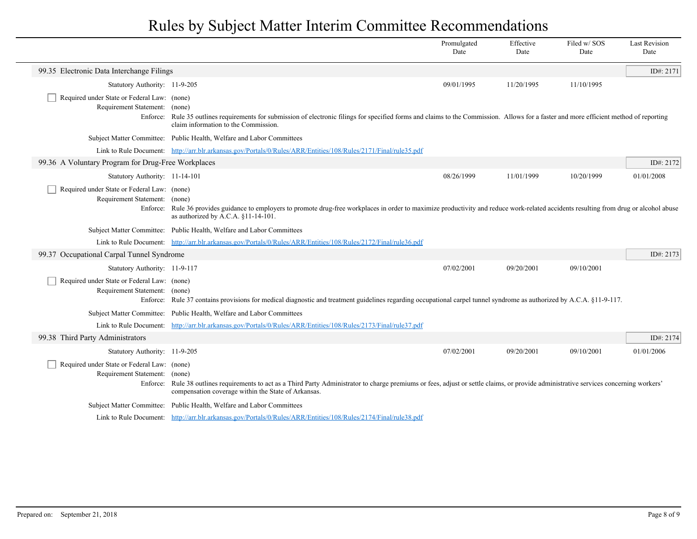|                                                                              |                                                                                                                                                                                                                                                 | Promulgated<br>Date | Effective<br>Date | Filed w/ SOS<br>Date | <b>Last Revision</b><br>Date |
|------------------------------------------------------------------------------|-------------------------------------------------------------------------------------------------------------------------------------------------------------------------------------------------------------------------------------------------|---------------------|-------------------|----------------------|------------------------------|
| 99.35 Electronic Data Interchange Filings                                    |                                                                                                                                                                                                                                                 |                     |                   |                      | ID#: 2171                    |
| Statutory Authority: 11-9-205                                                |                                                                                                                                                                                                                                                 | 09/01/1995          | 11/20/1995        | 11/10/1995           |                              |
| Required under State or Federal Law: (none)<br>Requirement Statement: (none) | Enforce: Rule 35 outlines requirements for submission of electronic filings for specified forms and claims to the Commission. Allows for a faster and more efficient method of reporting<br>claim information to the Commission.                |                     |                   |                      |                              |
|                                                                              | Subject Matter Committee: Public Health, Welfare and Labor Committees                                                                                                                                                                           |                     |                   |                      |                              |
|                                                                              | Link to Rule Document: http://arr.blr.arkansas.gov/Portals/0/Rules/ARR/Entities/108/Rules/2171/Final/rule35.pdf                                                                                                                                 |                     |                   |                      |                              |
| 99.36 A Voluntary Program for Drug-Free Workplaces                           |                                                                                                                                                                                                                                                 |                     |                   |                      | ID#: 2172                    |
| Statutory Authority: 11-14-101                                               |                                                                                                                                                                                                                                                 | 08/26/1999          | 11/01/1999        | 10/20/1999           | 01/01/2008                   |
| Required under State or Federal Law: (none)<br>Requirement Statement: (none) | Enforce: Rule 36 provides guidance to employers to promote drug-free workplaces in order to maximize productivity and reduce work-related accidents resulting from drug or alcohol abuse<br>as authorized by A.C.A. §11-14-101.                 |                     |                   |                      |                              |
|                                                                              | Subject Matter Committee: Public Health, Welfare and Labor Committees                                                                                                                                                                           |                     |                   |                      |                              |
|                                                                              | Link to Rule Document: http://arr.blr.arkansas.gov/Portals/0/Rules/ARR/Entities/108/Rules/2172/Final/rule36.pdf                                                                                                                                 |                     |                   |                      |                              |
| 99.37 Occupational Carpal Tunnel Syndrome                                    |                                                                                                                                                                                                                                                 |                     |                   |                      | ID#: 2173                    |
| Statutory Authority: 11-9-117                                                |                                                                                                                                                                                                                                                 | 07/02/2001          | 09/20/2001        | 09/10/2001           |                              |
| Required under State or Federal Law: (none)<br>Requirement Statement: (none) | Enforce: Rule 37 contains provisions for medical diagnostic and treatment guidelines regarding occupational carpel tunnel syndrome as authorized by A.C.A. §11-9-117.                                                                           |                     |                   |                      |                              |
|                                                                              | Subject Matter Committee: Public Health, Welfare and Labor Committees                                                                                                                                                                           |                     |                   |                      |                              |
|                                                                              | Link to Rule Document: http://arr.blr.arkansas.gov/Portals/0/Rules/ARR/Entities/108/Rules/2173/Final/rule37.pdf                                                                                                                                 |                     |                   |                      |                              |
| 99.38 Third Party Administrators                                             |                                                                                                                                                                                                                                                 |                     |                   |                      | ID#: 2174                    |
| Statutory Authority: 11-9-205                                                |                                                                                                                                                                                                                                                 | 07/02/2001          | 09/20/2001        | 09/10/2001           | 01/01/2006                   |
| Required under State or Federal Law: (none)<br>Requirement Statement: (none) | Enforce: Rule 38 outlines requirements to act as a Third Party Administrator to charge premiums or fees, adjust or settle claims, or provide administrative services concerning workers'<br>compensation coverage within the State of Arkansas. |                     |                   |                      |                              |
|                                                                              | Subject Matter Committee: Public Health, Welfare and Labor Committees                                                                                                                                                                           |                     |                   |                      |                              |
|                                                                              | Link to Rule Document: http://arr.blr.arkansas.gov/Portals/0/Rules/ARR/Entities/108/Rules/2174/Final/rule38.pdf                                                                                                                                 |                     |                   |                      |                              |